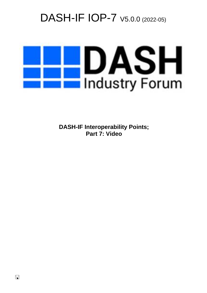# DASH-IF IOP-7  $\vee$ 5.0.0 (2022-05)



**DASH-IF Interoperability Points; Part 7: Video**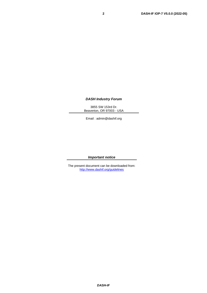#### *DASH Industry Forum*

3855 SW 153rd Dr. Beaverton, OR 97003 - USA

Email : admin@dashif.org

#### *Important notice*

The present document can be downloaded from: <http://www.dashif.org/guidelines>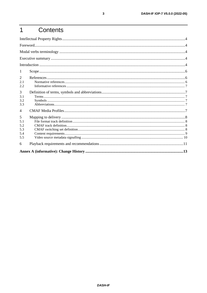#### $\overline{1}$ Contents

| 1              |  |
|----------------|--|
| 2              |  |
| 2.1            |  |
| 2.2            |  |
| 3              |  |
| 3.1            |  |
| 3.2            |  |
| 3.3            |  |
| $\overline{4}$ |  |
| 5              |  |
| 5.1            |  |
| 5.2            |  |
| 5.3            |  |
| 5.4            |  |
| 5.5            |  |
| 6              |  |
|                |  |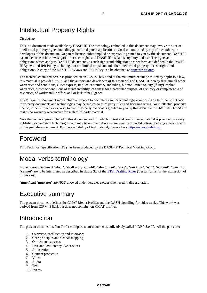# Intellectual Property Rights

#### Disclaimer

This is a document made available by DASH-IF. The technology embodied in this document may involve the use of intellectual property rights, including patents and patent applications owned or controlled by any of the authors or developers of this document. No patent license, either implied or express, is granted to you by this document. DASH-IF has made no search or investigation for such rights and DASH-IF disclaims any duty to do so. The rights and obligations which apply to DASH-IF documents, as such rights and obligations are set forth and defined in the DASH-IF Bylaws and IPR Policy including, but not limited to, patent and other intellectual property license rights and obligations. A copy of the DASH-IF Bylaws and IPR Policy can be obtained at [http://dashif.org/.](http://dashif.org/)

The material contained herein is provided on an "AS IS" basis and to the maximum extent pe mitted by applicable law, this material is provided AS IS, and the authors and developers of this material and DASH-IF hereby disclaim all other warranties and conditions, either express, implied or statutory, including, but not limited to, any (if any) implied warranties, duties or conditions of merchantability, of fitness for a particular purpose, of accuracy or completeness of responses, of workmanlike effort, and of lack of negligence.

In addition, this document may include references to documents and/or technologies controlled by third parties. Those third-party documents and technologies may be subject to third party rules and licensing terms. No intellectual property license, either implied or express, to any third-party material is granted to you by this document or DASH-IF. DASH-IF makes no warranty whatsoever for such third-party material.

Note that technologies included in this document and for which no test and conformance material is provided, are only published as candidate technologies, and may be removed if no test material is provided before releasing a new version of this guidelines document. For the availability of test material, please check [https://www.dashif.org.](https://www.dashif.org/)

## Foreword

This Technical Specification (TS) has been produced by the DASH-IF Technical Working Group.

## Modal verbs terminology

In the present document "**shall**", "**shall not**", "**should**", "**should not**", "**may**", "**need not**", "**will**", "**will not**", "**can**" and "**cannot**" are to be interpreted as described in clause 3.2 of the [ETSI Drafting Rules](https://portal.etsi.org/Services/editHelp!/Howtostart/ETSIDraftingRules.aspx) (Verbal forms for the expression of provisions).

"**must**" and "**must not**" are **NOT** allowed in deliverables except when used in direct citation.

## Executive summary

The present document defines the CMAF Media Profiles and the DASH signalling for video tracks. This work was derived from IOP v4.[3 \[i.1\],](#page-6-0) but does not contain non-CMAF profiles.

## Introduction

The present document is Part 7 of a multipart set of documents, collectively called "IOP V5.0.0". All the parts are:

- 1. Overview, architecture and interfaces
- 2. Core principles and CMAF mapping
- 3. On-demand services
- 4. Live and low-latency live services
- 5. Ad insertion
- 6. Content protection
- 7. Video
- 8. Audio
- 9. Text
- 10. Events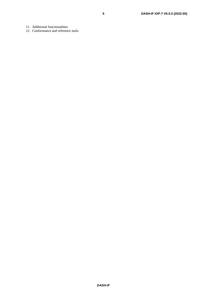12. Conformance and reference tools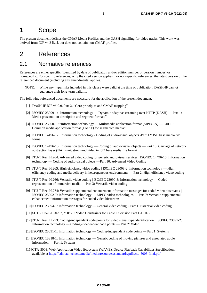#### 1 Scope

The present document defines the CMAF Media Profiles and the DASH signalling for video tracks. This work was derived from IOP v4.[3 \[i.1\],](#page-6-0) but does not contain non-CMAF profiles.

## 2 References

#### 2.1 Normative references

References are either specific (identified by date of publication and/or edition number or version number) or non-specific. For specific references, only the cited version applies. For non-specific references, the latest version of the referenced document (including any amendments) applies.

NOTE: While any hyperlinks included in this clause were valid at the time of publication, DASH-IF cannot guarantee their long-term validity.

<span id="page-5-0"></span>The following referenced documents are necessary for the application of the present document.

- [1] DASH-IF IOP v5.0.0, Part 2, "Core principles and CMAF mapping"
- <span id="page-5-8"></span>[2] ISO/IEC 23009-1: "Information technology — Dynamic adaptive streaming over HTTP (DASH) — Part 1: Media presentation description and segment formats"
- <span id="page-5-2"></span>[3] ISO/IEC 23000-19 "Information technology — Multimedia application format (MPEG-A) — Part 19: Common media application format (CMAF) for segmented media"
- <span id="page-5-4"></span>[4] ISO/IEC 14496-12: Information technology - Coding of audio-visual objects -Part 12: ISO base media file format
- <span id="page-5-5"></span>[5] ISO/IEC 14496-15: Information technology — Coding of audio-visual objects — Part 15: Carriage of network abstraction layer (NAL) unit structured video in ISO base media file format
- <span id="page-5-1"></span>[6] ITU-T Rec. H.264: Advanced video coding for generic audiovisual services | ISO/IEC 14496-10: Information technology — Coding of audio-visual objects —Part 10: Advanced Video Coding
- <span id="page-5-3"></span>[7] ITU-T Rec. H.265: High efficiency video coding | ISO/IEC 23008-2: Information technology — High efficiency coding and media delivery in heterogeneous environments — Part 2: High efficiency video coding
- <span id="page-5-6"></span>[8] ITU-T Rec. H.266: Versatile video coding | ISO/IEC 23090-3: Information technology — Coded representation of immersive media — Part 3: Versatile video coding
- [9] ITU-T Rec. H.274: Versatile supplemental enhancement information messages for coded video bitstreams | ISO/IEC 23002-7: Information technology — MPEG video technologies — Part 7: Versatile supplemental enhancement information messages for coded video bitstreams
- <span id="page-5-7"></span>[10]ISO/IEC 23094-1: Information technology — General video coding – Part 1: Essential video coding
- [11]SCTE 215-1-1:2020b, "HEVC Video Constraints for Cable Television Part 1-1 HDR"
- <span id="page-5-10"></span>[12]ITU-T Rec. H.273: Coding-independent code points for video signal type identification | ISO/IEC 23091-2: Information technology — Coding-independent code points — Part 2: Video
- <span id="page-5-9"></span>[13]ISO/IEC 23091-1: Information technology — Coding-independent code points — Part 1: Systems
- <span id="page-5-11"></span>[14]ISO/IEC 13818-1: Information technology — Generic coding of moving pictures and associated audio information — Part 1: Systems
- <span id="page-5-12"></span>[15]CTA-5003: Web Application Video Ecosystem (WAVE): Device Playback Capabilities Specification, available at <https://cdn.cta.tech/cta/media/media/resources/standards/pdfs/cta-5003-final.pdf>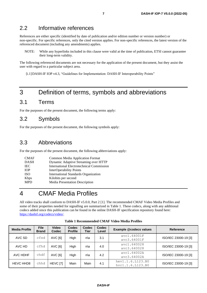#### 2.2 Informative references

References are either specific (identified by date of publication and/or edition number or version number) or non-specific. For specific references, only the cited version applies. For non-specific references, the latest version of the referenced document (including any amendments) applies.

NOTE: While any hyperlinks included in this clause were valid at the time of publication, ETSI cannot guarantee their long-term validity.

The following referenced documents are not necessary for the application of the present document, but they assist the user with regard to a particular subject area.

<span id="page-6-0"></span>[i.1]DASH-IF IOP v4.3, "Guidelines for Implementation: DASH-IF Interoperability Points"

#### 3 Definition of terms, symbols and abbreviations

#### 3.1 Terms

For the purposes of the present document, the following terms apply:

#### 3.2 Symbols

For the purposes of the present document, the following symbols apply:

#### 3.3 Abbreviations

For the purposes of the present document, the following abbreviations apply:

| <b>CMAF</b> | <b>Common Media Application Format</b>           |
|-------------|--------------------------------------------------|
| <b>DASH</b> | Dynamic Adaptive Streaming over HTTP             |
| <b>IEC</b>  | <b>International Electrotechnical Commission</b> |
| <b>TOP</b>  | InterOperability Points                          |
| <b>ISO</b>  | <b>International Standards Organization</b>      |
| Kbps        | Kilobits per second                              |
| <b>MPD</b>  | Media Presentation Description                   |

## 4 CMAF Media Profiles

All video tracks shall conform to DASH-IF v5.0.0, Part 2 [\[1\].](#page-5-0) The recommended CMAF Video Media Profiles and some of their properties needed for signalling are summarized in [Table 1.](#page-6-1) These codecs, along with any additional codecs added since this publication can be found in the online DASH-IF specification repository found here: [https://dashif.org/codecs/video/.](https://dashif.org/codecs/text)

<span id="page-6-1"></span>

| <b>Media Profile</b> | <b>File</b><br><b>Brand</b> | <b>Video</b><br>Codec | <b>Codec</b><br><b>Profile</b> | Codec<br><b>Tier</b> | Codec<br>Level | <b>Example @codecs values</b>        | <b>Reference</b>     |
|----------------------|-----------------------------|-----------------------|--------------------------------|----------------------|----------------|--------------------------------------|----------------------|
| AVC SD               | cfsd                        | AVC [6]               | High                           | n∖a                  | 3.1            | avc1.64001F<br>avc3.64001F           | ISO/IEC 23000-19 [3] |
| AVC HD               | cfhd                        | AVC [6]               | High                           | n\a                  | 4.0            | avc1.640028<br>avc3.640028           | ISO/IEC 23000-19 [3] |
| AVC HDHF             | chdf                        | AVC [6]               | High                           | n∖a                  | 4.2            | avc1.64002A<br>avc3.64002A           | ISO/IEC 23000-19 [3] |
| <b>HEVC HHD8</b>     | chhd                        | HEVC [7]              | Main                           | Main                 | 4.1            | hev1.1.6.L123.B0<br>hyc1.1.6.L123.B0 | ISO/IEC 23000-19 [3] |

**Table 1 Recommended CMAF Video Media Profiles**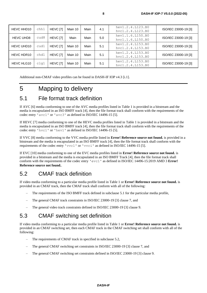| HEVC HHD10        | chh1 | HEVC [7] | Main 10 | Main | 4.1 | hev1.2.4.L123.B0<br>hyc1.2.4.L123.B0 | ISO/IEC 23000-19 [3] |
|-------------------|------|----------|---------|------|-----|--------------------------------------|----------------------|
| <b>HEVC UHD8</b>  | cud8 | HEVC [7] | Main    | Main | 5.0 | hev1.1.6.L150.B0<br>hyc1.1.6.L150.B0 | ISO/IEC 23000-19 [3] |
| HEVC UHD10        | cud1 | HEVC [7] | Main 10 | Main | 5.1 | hev1.2.4.L153.B0<br>hvc1.2.4.L153.B0 | ISO/IEC 23000-19 [3] |
| HEVC HDR10        | chd1 | HEVC [7] | Main 10 | Main | 5.1 | hev1.2.4.L153.B0<br>hyc1.2.4.L153.B0 | ISO/IEC 23000-19 [3] |
| <b>HEVC HLG10</b> | clg1 | HEVC [7] | Main 10 | Main | 5.1 | hev1.2.4.L153.B0<br>hyc1.2.4.L153.B0 | ISO/IEC 23000-19 [3] |

Additional non-CMAF video profiles can be found in DASH-IF IOP v4.3 [\[i.1\].](#page-6-0)

# 5 Mapping to delivery

#### <span id="page-7-0"></span>5.1 File format track definition

If AVC [\[6\]](#page-5-1) media conforming to one of the AVC media profiles listed in [Table 1](#page-6-1) is provided in a bitstream and the media is encapsulated in an ISO BMFF track [\[4\],](#page-5-4) then the file format track shall conform with the requirements of the codec entry 'avc1' or 'avc3' as defined in ISO/IEC 14496-15 [\[5\].](#page-5-5)

If HEVC [\[7\]](#page-5-3) media conforming to one of the HEVC media profiles listed in [Table 1](#page-6-1) is provided in a bitstream and the media is encapsulated in an ISO BMFF track [\[4\],](#page-5-4) then the file format track shall conform with the requirements of the codec entry 'hvc1' or 'hev1' as defined in ISO/IEC 14496-15 [\[5\].](#page-5-5)

If VVC [\[8\]](#page-5-6) media conforming to the VVC media profile listed in **Error! Reference source not found.** is provided in a bitstream and the media is encapsulated in an ISO BMFF track [\[4\],](#page-5-4) then the file format track shall conform with the requirements of the codec entry 'vvc1' or 'vvci' as defined in ISO/IEC 14496-1[5 \[5\].](#page-5-5)

If EVC [\[10\]](#page-5-7) media conforming to one of the EVC media profiles listed in **Error! Reference source not found.** is provided in a bitstream and the media is encapsulated in an ISO BMFF Track [\[4\],](#page-5-4) then the file format track shall conform with the requirements of the codec entry 'evc1' as defined in ISO/IEC 14496-15:2019 AMD 3 **Error! Reference source not found.**.

## <span id="page-7-1"></span>5.2 CMAF track definition

If video media conforming to a particular media profile listed in [Table 1](#page-6-1) or **Error! Reference source not found.** is provided in an CMAF track, then the CMAF track shall conform with all of the following:

- The requirements of the ISO BMFF track defined in subclause [5.1](#page-7-0) for the particular media profile,
- The general CMAF track constraints in ISO/IEC 23000-19 [\[3\]](#page-5-2) clause 7, and
- The general video track constraints defined in ISO/IEC 23000-19 [\[3\]](#page-5-2) clause 9.

## <span id="page-7-2"></span>5.3 CMAF switching set definition

If video media conforming to a particular media profile listed in [Table 1](#page-6-1) or **Error! Reference source not found.** is provided in an CMAF switching set, then each CMAF track in the CMAF switching set shall conform with all of the following:

- The requirements of CMAF track in specified in subclause [5.2,](#page-7-1)
- The general CMAF switching set constraints in ISO/IEC 23000-19 [\[3\]](#page-5-2) clause 7, and
- The general CMAF switching set constraints defined in ISO/IEC 23000-19 [\[3\]](#page-5-2) clause 9.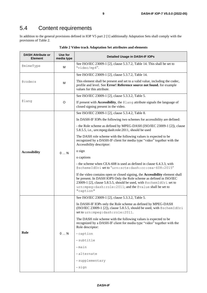## 5.4 Content requirements

In addition to the general provisions defined in IOP V5 part 2 [\[1\]](#page-5-0) additionally Adaptation Sets shall comply with the provisions o[f Table 2.](#page-8-0)

<span id="page-8-0"></span>

| <b>DASH Attribute or</b><br><b>Element</b> | Use for<br>media type | <b>Detailed Usage in DASH-IF IOPs</b>                                                                                                                                                                                                                                                                    |  |  |  |
|--------------------------------------------|-----------------------|----------------------------------------------------------------------------------------------------------------------------------------------------------------------------------------------------------------------------------------------------------------------------------------------------------|--|--|--|
| @mimeType                                  | M                     | See ISO/IEC 23009-1 [2], clause 5.3.7.2, Table 14. This shall be set to<br>"video/mp4".                                                                                                                                                                                                                  |  |  |  |
|                                            |                       | See ISO/IEC 23009-1 [2], clause 5.3.7.2, Table 14.                                                                                                                                                                                                                                                       |  |  |  |
| <b>@codecs</b><br>M                        |                       | This element shall be present and set to a valid value, including the codec,<br>profile and level. See Error! Reference source not found. for example<br>values for this attribute.                                                                                                                      |  |  |  |
|                                            |                       | See ISO/IEC 23009-1 [2], clause 5.3.3.2, Table 5.                                                                                                                                                                                                                                                        |  |  |  |
| @lang<br>O                                 |                       | If present with Accessibility, the @lang attribute signals the language of<br>closed signing present in the video.                                                                                                                                                                                       |  |  |  |
|                                            |                       | See ISO/IEC 23009-1 [2], clause 5.3.4.2, Table 8.                                                                                                                                                                                                                                                        |  |  |  |
|                                            |                       | In DASH-IF IOPs the following two schemes for accessibility are defined:                                                                                                                                                                                                                                 |  |  |  |
|                                            |                       | - the Role scheme as defined by MPEG-DASH (ISO/IEC 23009-1 [2]), clause<br>5.8.5.5, i.e., urn:mpeg:dash:role:2011, should be used                                                                                                                                                                        |  |  |  |
|                                            | $0 \ldots N$          | The DASH role scheme with the following values is expected to be<br>recognized by a DASH-IF client for media type "video" together with the<br>Accessibility descriptor:                                                                                                                                 |  |  |  |
| <b>Accessibility</b>                       |                       | o sign                                                                                                                                                                                                                                                                                                   |  |  |  |
|                                            |                       | o captions                                                                                                                                                                                                                                                                                               |  |  |  |
|                                            |                       | - the scheme when CEA-608 is used as defined in clause 6.4.3.3, with<br>@schemeIdUri set to "urn: scte: dash: cc: cea-608:2015"                                                                                                                                                                          |  |  |  |
|                                            |                       | If the video contains open or closed signing, the Accessibility element shall<br>be present. In DASH IOPS Only the Role scheme as defined in ISO/IEC<br>23009-1 [2], clause 5.8.5.5, should be used, with @schemIdUri set to<br>urn: mpeg: dash: role: 2011; and the @value shall be set to<br>"caption" |  |  |  |
|                                            |                       | See ISO/IEC 23009-1 [2], clause 5.3.3.2, Table 5.                                                                                                                                                                                                                                                        |  |  |  |
|                                            |                       | In DASH-IF IOPs only the Role scheme as defined by MPEG-DASH<br>(ISO/IEC 23009-1 [2]), clause 5.8.5.5, should be used, with @schemIdUri<br>set to urn: mpeg: dash: role: 2011.                                                                                                                           |  |  |  |
|                                            |                       | The DASH role scheme with the following values is expected to be<br>recognized by a DASH-IF client for media type "video" together with the<br>Role descriptor:                                                                                                                                          |  |  |  |
| Role                                       | 0N                    | - caption                                                                                                                                                                                                                                                                                                |  |  |  |
|                                            |                       | - subtitle                                                                                                                                                                                                                                                                                               |  |  |  |
|                                            |                       | -main                                                                                                                                                                                                                                                                                                    |  |  |  |
|                                            |                       | -alternate                                                                                                                                                                                                                                                                                               |  |  |  |
|                                            |                       | - supplementary                                                                                                                                                                                                                                                                                          |  |  |  |
|                                            |                       | - sign                                                                                                                                                                                                                                                                                                   |  |  |  |

**Table 2 Video track Adaptation Set attributes and elements**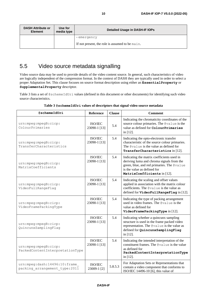| <b>DASH Attribute or</b><br><b>Element</b> | Use for<br>media type | Detailed Usage in DASH-IF IOPs                                |  |  |
|--------------------------------------------|-----------------------|---------------------------------------------------------------|--|--|
|                                            |                       | -emergency<br>If not present, the role is assumed to be main. |  |  |

## 5.5 Video source metadata signalling

Video source data may be used to provide details of the video content source. In general, such characteristics of video are logically independent of the compression format. In the context of DASH they are typically used in order to select a proper Adaptation Set. This clause focuses on source format description using either an **EssentialProperty** or **SupplementalProperty** descriptor.

[Table 3](#page-9-0) lists a set of @schemeIdUri values (defined in this document or other documents) for identifying such video source characteristics.

<span id="page-9-0"></span>

| @schemeIdUri                                                   | Reference               | <b>Clause</b> | <b>Comment</b>                                                                                                                                                                                      |
|----------------------------------------------------------------|-------------------------|---------------|-----------------------------------------------------------------------------------------------------------------------------------------------------------------------------------------------------|
| urn:mpeg:mpegB:cicp:<br>ColourPrimaries                        | ISO/IEC<br>23090-1 [13] | 5.4           | Indicating the chromaticity coordinates of the<br>source colour primaries. The @value is the<br>value as defined for ColourPrimaries<br>in $[12]$ .                                                 |
| urn:mpeg:mpegB:cicp:<br>TransferCharacteristics                | ISO/IEC<br>23090-1 [13] | 5.4           | Indicating the opto-electronic transfer<br>characteristic of the source colour primaries.<br>The @value is the value as defined for<br>TransferCharacteristics in [12].                             |
| urn:mpeg:mpegB:cicp:<br>MatrixCoefficients                     | ISO/IEC<br>23090-1 [13] | 5.4           | Indicating the matrix coefficients used in<br>deriving luma and chroma signals from the<br>green, blue, and red primaries. The @value<br>is the value as defined for<br>MatrixCoefficients in [12]. |
| urn:mpeg:mpegB:cicp:<br>VideoFullRangeFlag                     | ISO/IEC<br>23090-1 [13] | 5.4           | Indicating the scaling and offset values<br>applied in association with the matrix colour<br>coefficients. The @value is the value as<br>defined for VideoFullRangeFlag in [12].                    |
| urn:mpeg:mpegB:cicp:<br>VideoFramePackingType                  | ISO/IEC<br>23090-1 [13] | 5.4           | Indicating the type of packing arrangement<br>used in video frames. The @value is the<br>value as defined for<br>VideoFramePackingType in [12].                                                     |
| urn:mpeg:mpegB:cicp:<br>QuincunxSamplingFlag                   | ISO/IEC<br>23090-1 [13] | 5.4           | Indicating whether a quincunx sampling<br>structure is used in the frame packed video<br>representation. The @value is the value as<br>defined for QuincunxSamplingFlag<br>in $[12]$ .              |
| urn:mpeg:mpegB:cicp:<br>PackedContentInterpretationType        | ISO/IEC<br>23090-1 [13] | 5.4           | Indicating the intended interpretation of the<br>constituent frames. The @value is the value<br>as defined for<br>PackedContentInterpretationType<br>in $[12]$ .                                    |
| urn:mpeg:dash:14496:10:frame<br>packing arrangement type: 2011 | ISO/IEC<br>23009-1 [2]  | 5.8.5.3       | For Adaptation Sets or Representations that<br>contain a video component that conforms to<br>ISO/IEC 14496-10 [6], this value of                                                                    |

| Table 3 @schemeIdUri values of descriptors that signal video source metadata |  |  |
|------------------------------------------------------------------------------|--|--|
|                                                                              |  |  |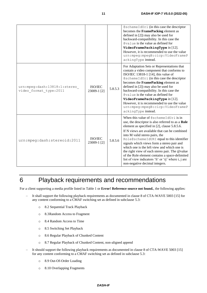|                                                        |                        |         | @schemeIdUri (in this case the descriptor<br>becomes the FramePacking element as<br>defined in $[2]$ ) may also be used for<br>backward-compatibility. In this case the<br>@value is the value as defined for<br>VideoFramePackingType in [12].<br>However, it is recommended to use the value<br>urn:mpeg:mpegB:cicp:VideoFrameP<br>ackingType instead.                                                                                                                                                                                                             |
|--------------------------------------------------------|------------------------|---------|----------------------------------------------------------------------------------------------------------------------------------------------------------------------------------------------------------------------------------------------------------------------------------------------------------------------------------------------------------------------------------------------------------------------------------------------------------------------------------------------------------------------------------------------------------------------|
| urn:mpeg:dash:13818:1:stereo<br>video format type:2011 | ISO/IEC<br>23009-1 [2] | 5.8.5.3 | For Adaptation Sets or Representations that<br>contain a video component that conforms to<br>ISO/IEC 13818-1 [14], this value of<br>@schemeIdUri (in this case the descriptor<br>becomes the FramePacking element as<br>defined in $[2]$ ) may also be used for<br>backward-compatibility. In this case the<br>@value is the value as defined for<br>VideoFramePackingType in [12].<br>However, it is recommended to use the value<br>urn:mpeg:mpegB:cicp:VideoFrameP<br>ackingType instead.                                                                         |
| urn: mpeg: dash: stereoid: 2011                        | ISO/IEC<br>23009-1 [2] | 5.8.5.6 | When this value of @schemeIdUri is in<br>use, the descriptor is also referred to as a Role<br>element as specified in [2], clause 5.8.5.6.<br>If N views are available that can be combined<br>into M valid stereo pairs, the<br>Role@schemeIdURI equal to this identifier<br>signals which views form a stereo pair and<br>which one is the left view and which one is<br>the right view of each stereo pair. The @value<br>of the Role element contains a space-delimited<br>list of view indicators 'li' or 'rj' where i, j are<br>non-negative decimal integers. |

# 6 Playback requirements and recommendations

For a client supporting a media profile listed in [Table 1](#page-6-1) or **Error! Reference source not found.**, the following applies:

- It shall support the following playback requirements as documented in clause 8 of CTA-WAVE 5003 [\[15\]](#page-5-12) for any content conforming to a CMAF switching set as defined in subclause [5.3:](#page-7-2)
	- o 8.2 Sequential Track Playback
	- o 8.3Random Access to Fragment
	- o 8.4 Random Access to Time
	- o 8.5 Switching Set Playback
	- o 8.6 Regular Playback of Chunked Content
	- o 8.7 Regular Playback of Chunked Content, non-aligned append
- It should support the following playback requirements as documented in clause 8 of CTA-WAVE 5003 [\[15\]](#page-5-12) for any content conforming to a CMAF switching set as defined in subclause [5.3:](#page-7-2)
	- o 8.9 Out-Of-Order Loading
	- o 8.10 Overlapping Fragments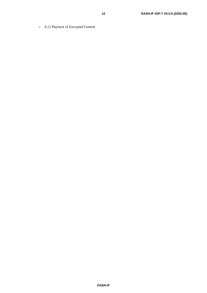o 8.12 Playback of Encrypted Content